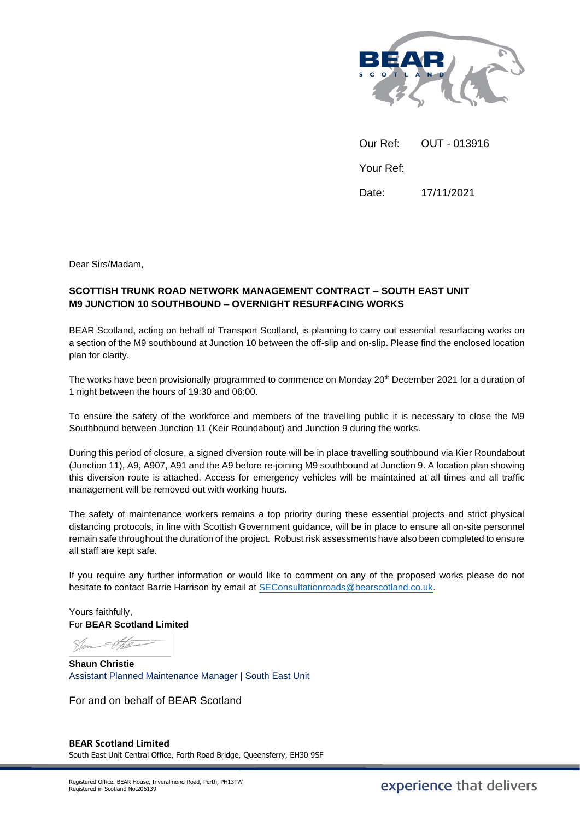

Our Ref: OUT - 013916 Your Ref: Date: 17/11/2021

Dear Sirs/Madam,

## **SCOTTISH TRUNK ROAD NETWORK MANAGEMENT CONTRACT – SOUTH EAST UNIT M9 JUNCTION 10 SOUTHBOUND – OVERNIGHT RESURFACING WORKS**

BEAR Scotland, acting on behalf of Transport Scotland, is planning to carry out essential resurfacing works on a section of the M9 southbound at Junction 10 between the off-slip and on-slip. Please find the enclosed location plan for clarity.

The works have been provisionally programmed to commence on Monday 20<sup>th</sup> December 2021 for a duration of 1 night between the hours of 19:30 and 06:00.

To ensure the safety of the workforce and members of the travelling public it is necessary to close the M9 Southbound between Junction 11 (Keir Roundabout) and Junction 9 during the works.

During this period of closure, a signed diversion route will be in place travelling southbound via Kier Roundabout (Junction 11), A9, A907, A91 and the A9 before re-joining M9 southbound at Junction 9. A location plan showing this diversion route is attached. Access for emergency vehicles will be maintained at all times and all traffic management will be removed out with working hours.

The safety of maintenance workers remains a top priority during these essential projects and strict physical distancing protocols, in line with Scottish Government guidance, will be in place to ensure all on-site personnel remain safe throughout the duration of the project. Robust risk assessments have also been completed to ensure all staff are kept safe.

If you require any further information or would like to comment on any of the proposed works please do not hesitate to contact Barrie Harrison by email a[t SEConsultationroads@bearscotland.co.uk.](mailto:SEConsultationroads@bearscotland.co.uk)

Yours faithfully, For **BEAR Scotland Limited**

Slen the

**Shaun Christie** Assistant Planned Maintenance Manager | South East Unit

For and on behalf of BEAR Scotland

## **BEAR Scotland Limited** South East Unit Central Office, Forth Road Bridge, Queensferry, EH30 9SF